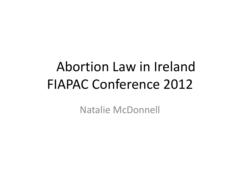# Abortion Law in Ireland FIAPAC Conference 2012

Natalie McDonnell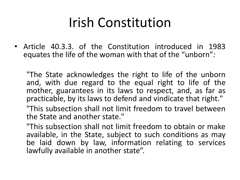### Irish Constitution

• Article 40.3.3. of the Constitution introduced in 1983 equates the life of the woman with that of the "unborn"*:*

"The State acknowledges the right to life of the unborn and, with due regard to the equal right to life of the mother, guarantees in its laws to respect, and, as far as practicable, by its laws to defend and vindicate that right."

"This subsection shall not limit freedom to travel between the State and another state."

"This subsection shall not limit freedom to obtain or make available, in the State, subject to such conditions as may be laid down by law, information relating to services lawfully available in another state".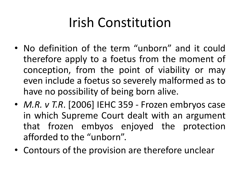## Irish Constitution

- No definition of the term "unborn" and it could therefore apply to a foetus from the moment of conception, from the point of viability or may even include a foetus so severely malformed as to have no possibility of being born alive.
- *M.R. v T.R*. [2006] IEHC 359 Frozen embryos case in which Supreme Court dealt with an argument that frozen embyos enjoyed the protection afforded to the "unborn".
- Contours of the provision are therefore unclear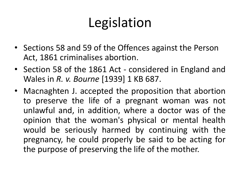# Legislation

- Sections 58 and 59 of the Offences against the Person Act, 1861 criminalises abortion.
- Section 58 of the 1861 Act considered in England and Wales in *R. v. Bourne* [1939] 1 KB 687.
- Macnaghten J. accepted the proposition that abortion to preserve the life of a pregnant woman was not unlawful and, in addition, where a doctor was of the opinion that the woman's physical or mental health would be seriously harmed by continuing with the pregnancy, he could properly be said to be acting for the purpose of preserving the life of the mother.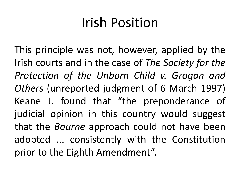### Irish Position

This principle was not, however, applied by the Irish courts and in the case of *The Society for the Protection of the Unborn Child v. Grogan and Others* (unreported judgment of 6 March 1997) Keane J. found that "the preponderance of judicial opinion in this country would suggest that the *Bourne* approach could not have been adopted ... consistently with the Constitution prior to the Eighth Amendment".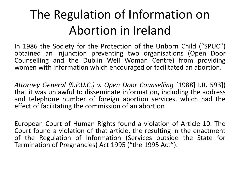#### The Regulation of Information on Abortion in Ireland

In 1986 the Society for the Protection of the Unborn Child ("SPUC") obtained an injunction preventing two organisations (Open Door Counselling and the Dublin Well Woman Centre) from providing women with information which encouraged or facilitated an abortion.

*Attorney General (S.P.U.C.) v. Open Door Counselling* [1988] I.R. 593]) that it was unlawful to disseminate information, including the address and telephone number of foreign abortion services, which had the effect of facilitating the commission of an abortion

European Court of Human Rights found a violation of Article 10. The Court found a violation of that article, the resulting in the enactment of the Regulation of Information (Services outside the State for Termination of Pregnancies) Act 1995 ("the 1995 Act").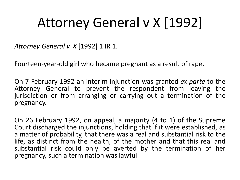## Attorney General v X [1992]

*Attorney General v. X* [1992] 1 IR 1.

Fourteen-year-old girl who became pregnant as a result of rape.

On 7 February 1992 an interim injunction was granted *ex parte* to the Attorney General to prevent the respondent from leaving the jurisdiction or from arranging or carrying out a termination of the pregnancy.

On 26 February 1992, on appeal, a majority (4 to 1) of the Supreme Court discharged the injunctions, holding that if it were established, as a matter of probability, that there was a real and substantial risk to the life, as distinct from the health, of the mother and that this real and substantial risk could only be averted by the termination of her pregnancy, such a termination was lawful.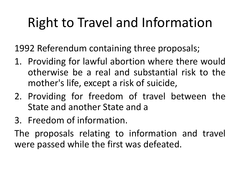# Right to Travel and Information

1992 Referendum containing three proposals;

- 1. Providing for lawful abortion where there would otherwise be a real and substantial risk to the mother's life, except a risk of suicide,
- 2. Providing for freedom of travel between the State and another State and a
- 3. Freedom of information.

The proposals relating to information and travel were passed while the first was defeated.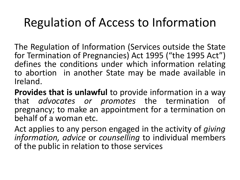#### Regulation of Access to Information

The Regulation of Information (Services outside the State for Termination of Pregnancies) Act 1995 ("the 1995 Act") defines the conditions under which information relating to abortion in another State may be made available in Ireland.

**Provides that is unlawful** to provide information in a way that *advocates or promotes* the termination of pregnancy; to make an appointment for a termination on behalf of a woman etc.

Act applies to any person engaged in the activity of *giving information, advice* or *counselling* to individual members of the public in relation to those services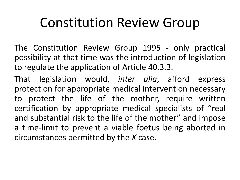#### Constitution Review Group

The Constitution Review Group 1995 - only practical possibility at that time was the introduction of legislation to regulate the application of Article 40.3.3.

That legislation would, *inter alia*, afford express protection for appropriate medical intervention necessary to protect the life of the mother, require written certification by appropriate medical specialists of "real and substantial risk to the life of the mother" and impose a time-limit to prevent a viable foetus being aborted in circumstances permitted by the *X* case.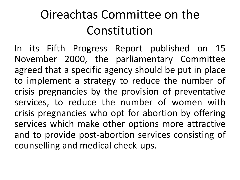#### Oireachtas Committee on the Constitution

In its Fifth Progress Report published on 15 November 2000, the parliamentary Committee agreed that a specific agency should be put in place to implement a strategy to reduce the number of crisis pregnancies by the provision of preventative services, to reduce the number of women with crisis pregnancies who opt for abortion by offering services which make other options more attractive and to provide post-abortion services consisting of counselling and medical check-ups.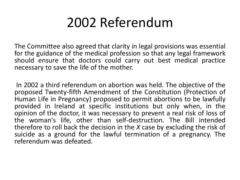### 2002 Referendum

The Committee also agreed that clarity in legal provisions was essential for the guidance of the medical profession so that any legal framework should ensure that doctors could carry out best medical practice necessary to save the life of the mother.

In 2002 a third referendum on abortion was held. The objective of the proposed Twenty-fifth Amendment of the Constitution (Protection of Human Life in Pregnancy) proposed to permit abortions to be lawfully provided in Ireland at specific institutions but only when, in the opinion of the doctor, it was necessary to prevent a real risk of loss of the woman's life, other than self-destruction. The Bill intended therefore to roll back the decision in the *X* case by excluding the risk of suicide as a ground for the lawful termination of a pregnancy. The referendum was defeated.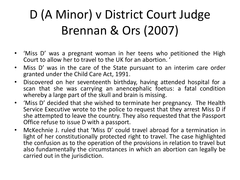## D (A Minor) v District Court Judge Brennan & Ors (2007)

- 'Miss D' was a pregnant woman in her teens who petitioned the High Court to allow her to travel to the UK for an abortion. '
- Miss D' was in the care of the State pursuant to an interim care order granted under the Child Care Act, 1991.
- Discovered on her seventeenth birthday, having attended hospital for a scan that she was carrying an anencephalic foetus: a fatal condition whereby a large part of the skull and brain is missing.
- 'Miss D' decided that she wished to terminate her pregnancy. The Health Service Executive wrote to the police to request that they arrest Miss D if she attempted to leave the country. They also requested that the Passport Office refuse to issue D with a passport.
- McKechnie J. ruled that 'Miss D' could travel abroad for a termination in light of her constitutionally protected right to travel. The case highlighted the confusion as to the operation of the provisions in relation to travel but also fundamentally the circumstances in which an abortion can legally be carried out in the jurisdiction.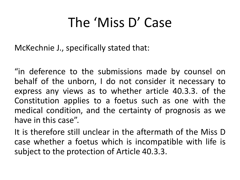### The 'Miss D' Case

McKechnie J., specifically stated that:

"in deference to the submissions made by counsel on behalf of the unborn, I do not consider it necessary to express any views as to whether article 40.3.3. of the Constitution applies to a foetus such as one with the medical condition, and the certainty of prognosis as we have in this case".

It is therefore still unclear in the aftermath of the Miss D case whether a foetus which is incompatible with life is subject to the protection of Article 40.3.3.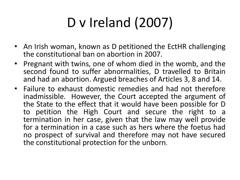# D v Ireland (2007)

- An Irish woman, known as D petitioned the EctHR challenging the constitutional ban on abortion in 2007.
- Pregnant with twins, one of whom died in the womb, and the second found to suffer abnormalities, D travelled to Britain and had an abortion. Argued breaches of Articles 3, 8 and 14.
- Failure to exhaust domestic remedies and had not therefore inadmissible. However, the Court accepted the argument of the State to the effect that it would have been possible for D to petition the High Court and secure the right to a termination in her case, given that the law may well provide for a termination in a case such as hers where the foetus had no prospect of survival and therefore may not have secured the constitutional protection for the unborn.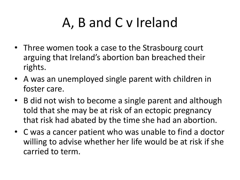- Three women took a case to the Strasbourg court arguing that Ireland's abortion ban breached their rights.
- A was an unemployed single parent with children in foster care.
- B did not wish to become a single parent and although told that she may be at risk of an ectopic pregnancy that risk had abated by the time she had an abortion.
- C was a cancer patient who was unable to find a doctor willing to advise whether her life would be at risk if she carried to term.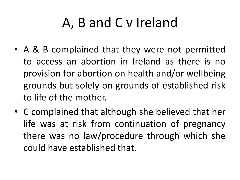- A & B complained that they were not permitted to access an abortion in Ireland as there is no provision for abortion on health and/or wellbeing grounds but solely on grounds of established risk to life of the mother.
- C complained that although she believed that her life was at risk from continuation of pregnancy there was no law/procedure through which she could have established that.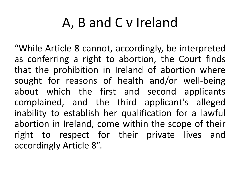"While Article 8 cannot, accordingly, be interpreted as conferring a right to abortion, the Court finds that the prohibition in Ireland of abortion where sought for reasons of health and/or well-being about which the first and second applicants complained, and the third applicant's alleged inability to establish her qualification for a lawful abortion in Ireland, come within the scope of their right to respect for their private lives and accordingly Article 8".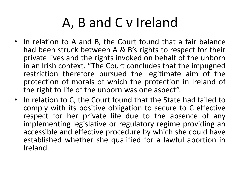- In relation to A and B, the Court found that a fair balance had been struck between A & B's rights to respect for their private lives and the rights invoked on behalf of the unborn in an Irish context. "The Court concludes that the impugned restriction therefore pursued the legitimate aim of the protection of morals of which the protection in Ireland of the right to life of the unborn was one aspect".
- In relation to C, the Court found that the State had failed to comply with its positive obligation to secure to C effective respect for her private life due to the absence of any implementing legislative or regulatory regime providing an accessible and effective procedure by which she could have established whether she qualified for a lawful abortion in Ireland.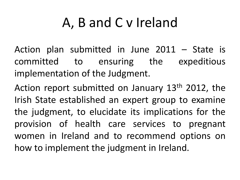Action plan submitted in June 2011 – State is committed to ensuring the expeditious implementation of the Judgment.

Action report submitted on January 13<sup>th</sup> 2012, the Irish State established an expert group to examine the judgment, to elucidate its implications for the provision of health care services to pregnant women in Ireland and to recommend options on how to implement the judgment in Ireland.